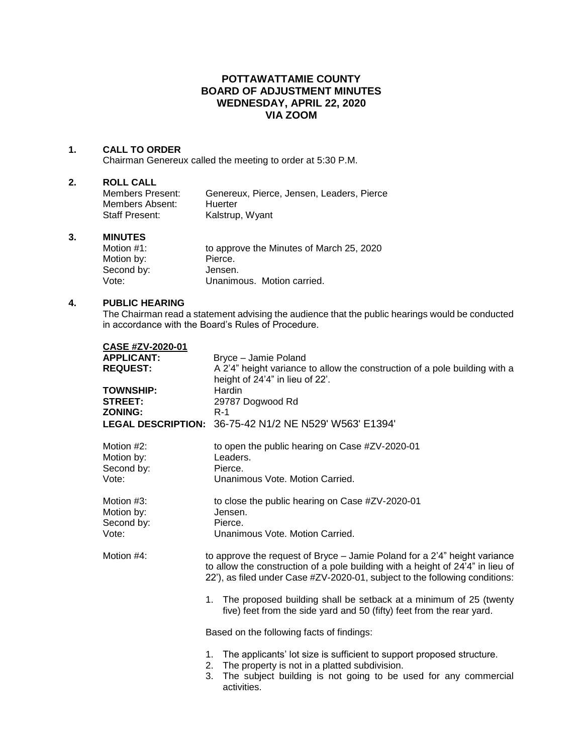# **POTTAWATTAMIE COUNTY BOARD OF ADJUSTMENT MINUTES WEDNESDAY, APRIL 22, 2020 VIA ZOOM**

## **1. CALL TO ORDER**

Chairman Genereux called the meeting to order at 5:30 P.M.

#### **2. ROLL CALL**

| Members Present:      | Genereux. Pierce. Jensen. Leaders. Pierce |
|-----------------------|-------------------------------------------|
| Members Absent:       | Huerter                                   |
| <b>Staff Present:</b> | Kalstrup, Wyant                           |

#### **3. MINUTES**

| to approve the Minutes of March 25, 2020 |
|------------------------------------------|
| Pierce.                                  |
| Jensen.                                  |
| Unanimous. Motion carried.               |
|                                          |

## **4. PUBLIC HEARING**

The Chairman read a statement advising the audience that the public hearings would be conducted in accordance with the Board's Rules of Procedure.

| CASE #ZV-2020-01<br><b>APPLICANT:</b><br><b>REQUEST:</b><br><b>TOWNSHIP:</b><br><b>STREET:</b><br><b>ZONING:</b> | Bryce - Jamie Poland<br>A 2'4" height variance to allow the construction of a pole building with a<br>height of 24'4" in lieu of 22'.<br>Hardin<br>29787 Dogwood Rd<br>$R-1$<br>LEGAL DESCRIPTION: 36-75-42 N1/2 NE N529' W563' E1394'                                                                                                                                                         |  |  |
|------------------------------------------------------------------------------------------------------------------|------------------------------------------------------------------------------------------------------------------------------------------------------------------------------------------------------------------------------------------------------------------------------------------------------------------------------------------------------------------------------------------------|--|--|
| Motion #2:<br>Motion by:<br>Second by:<br>Vote:                                                                  | to open the public hearing on Case #ZV-2020-01<br>Leaders.<br>Pierce.<br>Unanimous Vote, Motion Carried.                                                                                                                                                                                                                                                                                       |  |  |
| Motion #3:<br>Motion by:<br>Second by:<br>Vote:                                                                  | to close the public hearing on Case #ZV-2020-01<br>Jensen.<br>Pierce.<br>Unanimous Vote, Motion Carried.                                                                                                                                                                                                                                                                                       |  |  |
| Motion #4:                                                                                                       | to approve the request of Bryce – Jamie Poland for a 2'4" height variance<br>to allow the construction of a pole building with a height of 24'4" in lieu of<br>22'), as filed under Case #ZV-2020-01, subject to the following conditions:<br>The proposed building shall be setback at a minimum of 25 (twenty<br>1.<br>five) feet from the side yard and 50 (fifty) feet from the rear yard. |  |  |
|                                                                                                                  | Based on the following facts of findings:                                                                                                                                                                                                                                                                                                                                                      |  |  |
|                                                                                                                  | The applicants' lot size is sufficient to support proposed structure.<br>1.<br>The property is not in a platted subdivision.<br>2.<br>The subject building is not going to be used for any commercial<br>3.<br>activities.                                                                                                                                                                     |  |  |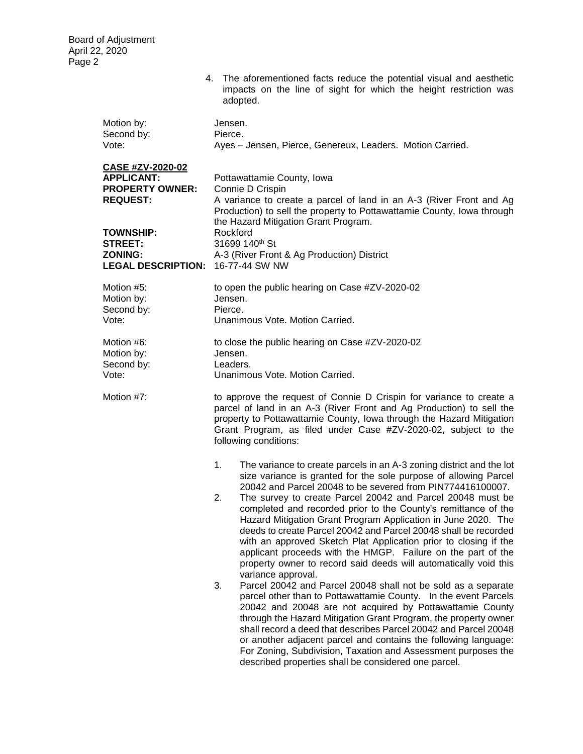|                                                                                           | impacts on the line of sight for which the height restriction was<br>adopted.                                                                                                                                                                                                                                                                                                                                                                                                                                                                                                                                                                                                                                                                                                               |
|-------------------------------------------------------------------------------------------|---------------------------------------------------------------------------------------------------------------------------------------------------------------------------------------------------------------------------------------------------------------------------------------------------------------------------------------------------------------------------------------------------------------------------------------------------------------------------------------------------------------------------------------------------------------------------------------------------------------------------------------------------------------------------------------------------------------------------------------------------------------------------------------------|
| Motion by:<br>Second by:<br>Vote:                                                         | Jensen.<br>Pierce.<br>Ayes - Jensen, Pierce, Genereux, Leaders. Motion Carried.                                                                                                                                                                                                                                                                                                                                                                                                                                                                                                                                                                                                                                                                                                             |
| <b>CASE #ZV-2020-02</b><br><b>APPLICANT:</b><br><b>PROPERTY OWNER:</b><br><b>REQUEST:</b> | Pottawattamie County, Iowa<br>Connie D Crispin<br>A variance to create a parcel of land in an A-3 (River Front and Ag<br>Production) to sell the property to Pottawattamie County, Iowa through<br>the Hazard Mitigation Grant Program.                                                                                                                                                                                                                                                                                                                                                                                                                                                                                                                                                     |
| <b>TOWNSHIP:</b><br><b>STREET:</b><br><b>ZONING:</b><br><b>LEGAL DESCRIPTION:</b>         | Rockford<br>31699 140 <sup>th</sup> St<br>A-3 (River Front & Ag Production) District<br>16-77-44 SW NW                                                                                                                                                                                                                                                                                                                                                                                                                                                                                                                                                                                                                                                                                      |
| Motion #5:<br>Motion by:<br>Second by:<br>Vote:                                           | to open the public hearing on Case #ZV-2020-02<br>Jensen.<br>Pierce.<br>Unanimous Vote. Motion Carried.                                                                                                                                                                                                                                                                                                                                                                                                                                                                                                                                                                                                                                                                                     |
| Motion #6:<br>Motion by:<br>Second by:<br>Vote:                                           | to close the public hearing on Case #ZV-2020-02<br>Jensen.<br>Leaders.<br>Unanimous Vote. Motion Carried.                                                                                                                                                                                                                                                                                                                                                                                                                                                                                                                                                                                                                                                                                   |
| Motion #7:                                                                                | to approve the request of Connie D Crispin for variance to create a<br>parcel of land in an A-3 (River Front and Ag Production) to sell the<br>property to Pottawattamie County, Iowa through the Hazard Mitigation<br>Grant Program, as filed under Case #ZV-2020-02, subject to the<br>following conditions:                                                                                                                                                                                                                                                                                                                                                                                                                                                                              |
|                                                                                           | The variance to create parcels in an A-3 zoning district and the lot<br>1.<br>size variance is granted for the sole purpose of allowing Parcel<br>20042 and Parcel 20048 to be severed from PIN774416100007.<br>The survey to create Parcel 20042 and Parcel 20048 must be<br>2.<br>completed and recorded prior to the County's remittance of the<br>Hazard Mitigation Grant Program Application in June 2020. The<br>deeds to create Parcel 20042 and Parcel 20048 shall be recorded<br>with an approved Sketch Plat Application prior to closing if the<br>applicant proceeds with the HMGP. Failure on the part of the<br>property owner to record said deeds will automatically void this<br>variance approval.<br>3.<br>Parcel 20042 and Parcel 20048 shall not be sold as a separate |
|                                                                                           | parcel other than to Pottawattamie County. In the event Parcels<br>20042 and 20048 are not acquired by Pottawattamie County<br>through the Hazard Mitigation Grant Program, the property owner<br>shall record a deed that describes Parcel 20042 and Parcel 20048<br>or another adjacent parcel and contains the following language:<br>For Zoning, Subdivision, Taxation and Assessment purposes the<br>described properties shall be considered one parcel.                                                                                                                                                                                                                                                                                                                              |

4. The aforementioned facts reduce the potential visual and aesthetic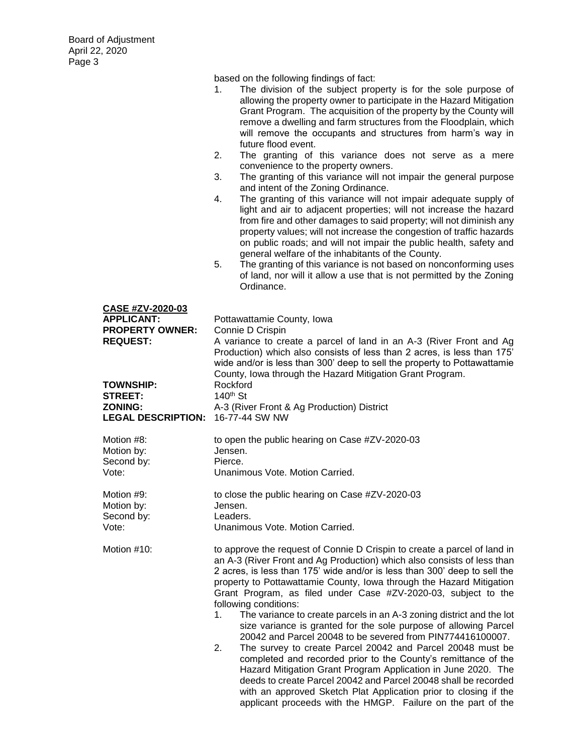|                                                                                           | based on the following findings of fact:<br>The division of the subject property is for the sole purpose of<br>1.<br>allowing the property owner to participate in the Hazard Mitigation<br>Grant Program. The acquisition of the property by the County will<br>remove a dwelling and farm structures from the Floodplain, which<br>will remove the occupants and structures from harm's way in<br>future flood event.<br>The granting of this variance does not serve as a mere<br>2.<br>convenience to the property owners.<br>The granting of this variance will not impair the general purpose<br>3.<br>and intent of the Zoning Ordinance.<br>The granting of this variance will not impair adequate supply of<br>4.<br>light and air to adjacent properties; will not increase the hazard<br>from fire and other damages to said property; will not diminish any<br>property values; will not increase the congestion of traffic hazards<br>on public roads; and will not impair the public health, safety and<br>general welfare of the inhabitants of the County.<br>5.<br>The granting of this variance is not based on nonconforming uses<br>of land, nor will it allow a use that is not permitted by the Zoning<br>Ordinance. |
|-------------------------------------------------------------------------------------------|--------------------------------------------------------------------------------------------------------------------------------------------------------------------------------------------------------------------------------------------------------------------------------------------------------------------------------------------------------------------------------------------------------------------------------------------------------------------------------------------------------------------------------------------------------------------------------------------------------------------------------------------------------------------------------------------------------------------------------------------------------------------------------------------------------------------------------------------------------------------------------------------------------------------------------------------------------------------------------------------------------------------------------------------------------------------------------------------------------------------------------------------------------------------------------------------------------------------------------------------|
| CASE #ZV-2020-03<br><b>APPLICANT:</b><br><b>PROPERTY OWNER:</b><br><b>REQUEST:</b>        | Pottawattamie County, Iowa<br>Connie D Crispin<br>A variance to create a parcel of land in an A-3 (River Front and Ag<br>Production) which also consists of less than 2 acres, is less than 175'<br>wide and/or is less than 300' deep to sell the property to Pottawattamie<br>County, Iowa through the Hazard Mitigation Grant Program.                                                                                                                                                                                                                                                                                                                                                                                                                                                                                                                                                                                                                                                                                                                                                                                                                                                                                                  |
| <b>TOWNSHIP:</b><br><b>STREET:</b><br><b>ZONING:</b><br>LEGAL DESCRIPTION: 16-77-44 SW NW | Rockford<br>140 <sup>th</sup> St<br>A-3 (River Front & Ag Production) District                                                                                                                                                                                                                                                                                                                                                                                                                                                                                                                                                                                                                                                                                                                                                                                                                                                                                                                                                                                                                                                                                                                                                             |
| Motion #8:<br>Motion by:<br>Second by:<br>Vote:                                           | to open the public hearing on Case #ZV-2020-03<br>Jensen.<br>Pierce.<br>Unanimous Vote. Motion Carried.                                                                                                                                                                                                                                                                                                                                                                                                                                                                                                                                                                                                                                                                                                                                                                                                                                                                                                                                                                                                                                                                                                                                    |
| Motion #9:<br>Motion by:<br>Second by:<br>Vote:                                           | to close the public hearing on Case #ZV-2020-03<br>Jensen.<br>Leaders.<br>Unanimous Vote. Motion Carried.                                                                                                                                                                                                                                                                                                                                                                                                                                                                                                                                                                                                                                                                                                                                                                                                                                                                                                                                                                                                                                                                                                                                  |
| Motion #10:                                                                               | to approve the request of Connie D Crispin to create a parcel of land in<br>an A-3 (River Front and Ag Production) which also consists of less than<br>2 acres, is less than 175' wide and/or is less than 300' deep to sell the<br>property to Pottawattamie County, Iowa through the Hazard Mitigation<br>Grant Program, as filed under Case #ZV-2020-03, subject to the<br>following conditions:<br>The variance to create parcels in an A-3 zoning district and the lot<br>1.<br>size variance is granted for the sole purpose of allowing Parcel<br>20042 and Parcel 20048 to be severed from PIN774416100007.<br>The survey to create Parcel 20042 and Parcel 20048 must be<br>2.<br>completed and recorded prior to the County's remittance of the<br>Hazard Mitigation Grant Program Application in June 2020. The<br>deeds to create Parcel 20042 and Parcel 20048 shall be recorded<br>with an approved Sketch Plat Application prior to closing if the                                                                                                                                                                                                                                                                          |

applicant proceeds with the HMGP. Failure on the part of the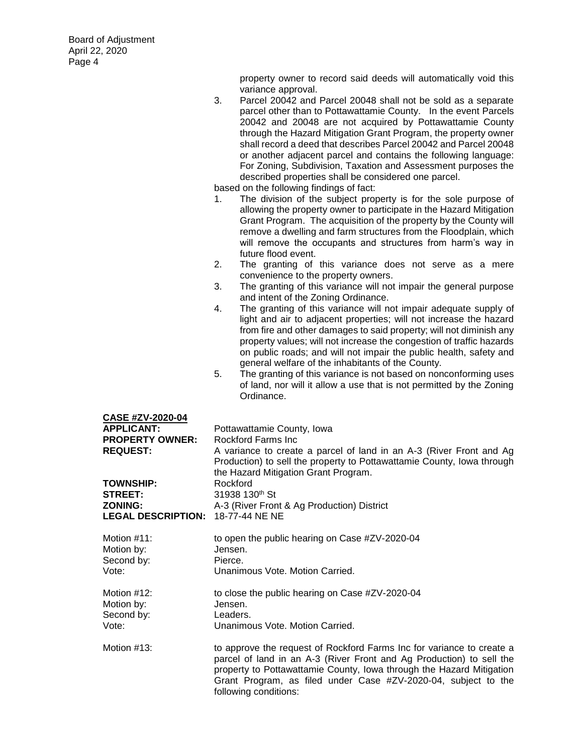property owner to record said deeds will automatically void this variance approval.

3. Parcel 20042 and Parcel 20048 shall not be sold as a separate parcel other than to Pottawattamie County. In the event Parcels 20042 and 20048 are not acquired by Pottawattamie County through the Hazard Mitigation Grant Program, the property owner shall record a deed that describes Parcel 20042 and Parcel 20048 or another adjacent parcel and contains the following language: For Zoning, Subdivision, Taxation and Assessment purposes the described properties shall be considered one parcel.

- 1. The division of the subject property is for the sole purpose of allowing the property owner to participate in the Hazard Mitigation Grant Program. The acquisition of the property by the County will remove a dwelling and farm structures from the Floodplain, which will remove the occupants and structures from harm's way in future flood event.
- 2. The granting of this variance does not serve as a mere convenience to the property owners.
- 3. The granting of this variance will not impair the general purpose and intent of the Zoning Ordinance.
- 4. The granting of this variance will not impair adequate supply of light and air to adjacent properties; will not increase the hazard from fire and other damages to said property; will not diminish any property values; will not increase the congestion of traffic hazards on public roads; and will not impair the public health, safety and general welfare of the inhabitants of the County.
- 5. The granting of this variance is not based on nonconforming uses of land, nor will it allow a use that is not permitted by the Zoning Ordinance.

| <b>CASE #ZV-2020-04</b>                 |                                                                                                                                                                                                                                                                                                                  |
|-----------------------------------------|------------------------------------------------------------------------------------------------------------------------------------------------------------------------------------------------------------------------------------------------------------------------------------------------------------------|
| <b>APPLICANT:</b>                       | Pottawattamie County, Iowa                                                                                                                                                                                                                                                                                       |
| <b>PROPERTY OWNER:</b>                  | Rockford Farms Inc.                                                                                                                                                                                                                                                                                              |
| <b>REQUEST:</b>                         | A variance to create a parcel of land in an A-3 (River Front and Ag<br>Production) to sell the property to Pottawattamie County, Iowa through<br>the Hazard Mitigation Grant Program.                                                                                                                            |
| <b>TOWNSHIP:</b>                        | Rockford                                                                                                                                                                                                                                                                                                         |
| STREET:                                 | 31938 130th St                                                                                                                                                                                                                                                                                                   |
| <b>ZONING:</b>                          | A-3 (River Front & Ag Production) District                                                                                                                                                                                                                                                                       |
| <b>LEGAL DESCRIPTION:</b>               | 18-77-44 NE NE                                                                                                                                                                                                                                                                                                   |
|                                         |                                                                                                                                                                                                                                                                                                                  |
| Motion #11:                             | to open the public hearing on Case #ZV-2020-04                                                                                                                                                                                                                                                                   |
| Motion by:                              | Jensen.                                                                                                                                                                                                                                                                                                          |
| Second by:                              | Pierce.                                                                                                                                                                                                                                                                                                          |
| Vote:                                   | Unanimous Vote, Motion Carried.                                                                                                                                                                                                                                                                                  |
| Motion #12:<br>Motion by:<br>Second by: | to close the public hearing on Case #ZV-2020-04<br>Jensen.<br>Leaders.                                                                                                                                                                                                                                           |
| Vote:                                   | Unanimous Vote. Motion Carried.                                                                                                                                                                                                                                                                                  |
|                                         |                                                                                                                                                                                                                                                                                                                  |
| Motion #13:                             | to approve the request of Rockford Farms Inc for variance to create a<br>parcel of land in an A-3 (River Front and Ag Production) to sell the<br>property to Pottawattamie County, Iowa through the Hazard Mitigation<br>Grant Program, as filed under Case #ZV-2020-04, subject to the<br>following conditions: |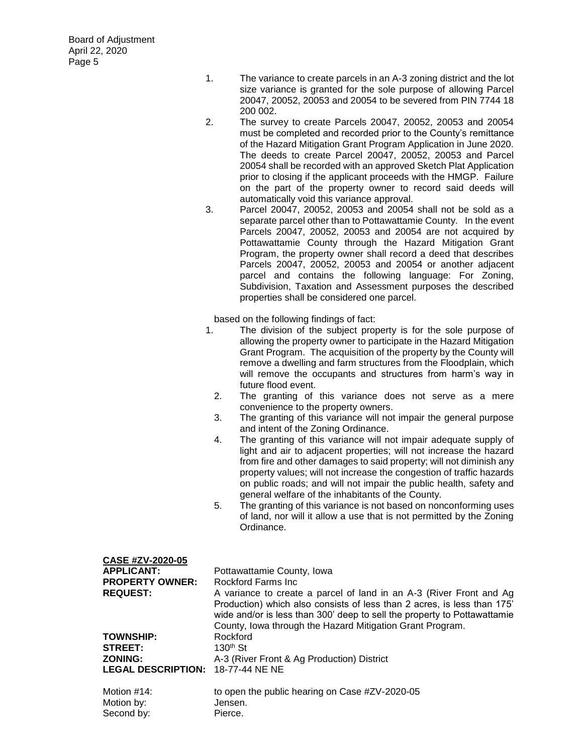**CASE #ZV-2020-05**

- 1. The variance to create parcels in an A-3 zoning district and the lot size variance is granted for the sole purpose of allowing Parcel 20047, 20052, 20053 and 20054 to be severed from PIN 7744 18 200 002.
- 2. The survey to create Parcels 20047, 20052, 20053 and 20054 must be completed and recorded prior to the County's remittance of the Hazard Mitigation Grant Program Application in June 2020. The deeds to create Parcel 20047, 20052, 20053 and Parcel 20054 shall be recorded with an approved Sketch Plat Application prior to closing if the applicant proceeds with the HMGP. Failure on the part of the property owner to record said deeds will automatically void this variance approval.
- 3. Parcel 20047, 20052, 20053 and 20054 shall not be sold as a separate parcel other than to Pottawattamie County. In the event Parcels 20047, 20052, 20053 and 20054 are not acquired by Pottawattamie County through the Hazard Mitigation Grant Program, the property owner shall record a deed that describes Parcels 20047, 20052, 20053 and 20054 or another adjacent parcel and contains the following language: For Zoning, Subdivision, Taxation and Assessment purposes the described properties shall be considered one parcel.

- 1. The division of the subject property is for the sole purpose of allowing the property owner to participate in the Hazard Mitigation Grant Program. The acquisition of the property by the County will remove a dwelling and farm structures from the Floodplain, which will remove the occupants and structures from harm's way in future flood event.
	- 2. The granting of this variance does not serve as a mere convenience to the property owners.
	- 3. The granting of this variance will not impair the general purpose and intent of the Zoning Ordinance.
	- 4. The granting of this variance will not impair adequate supply of light and air to adjacent properties; will not increase the hazard from fire and other damages to said property; will not diminish any property values; will not increase the congestion of traffic hazards on public roads; and will not impair the public health, safety and general welfare of the inhabitants of the County.
	- 5. The granting of this variance is not based on nonconforming uses of land, nor will it allow a use that is not permitted by the Zoning Ordinance.

| <b>UASE #ZV-ZUZU-US</b>      |                                                                                                                                                                                                                  |
|------------------------------|------------------------------------------------------------------------------------------------------------------------------------------------------------------------------------------------------------------|
| <b>APPLICANT:</b>            | Pottawattamie County, Iowa                                                                                                                                                                                       |
| <b>PROPERTY OWNER:</b>       | Rockford Farms Inc.                                                                                                                                                                                              |
| <b>REQUEST:</b>              | A variance to create a parcel of land in an A-3 (River Front and Ag                                                                                                                                              |
|                              | Production) which also consists of less than 2 acres, is less than 175'<br>wide and/or is less than 300' deep to sell the property to Pottawattamie<br>County, Iowa through the Hazard Mitigation Grant Program. |
| <b>TOWNSHIP:</b>             | Rockford                                                                                                                                                                                                         |
| <b>STREET:</b>               | $130th$ St                                                                                                                                                                                                       |
| <b>ZONING:</b>               | A-3 (River Front & Ag Production) District                                                                                                                                                                       |
| <b>LEGAL DESCRIPTION:</b>    | 18-77-44 NE NE                                                                                                                                                                                                   |
| Motion $#14$ :<br>Motion by: | to open the public hearing on Case #ZV-2020-05<br>Jensen.                                                                                                                                                        |
| Second by:                   | Pierce.                                                                                                                                                                                                          |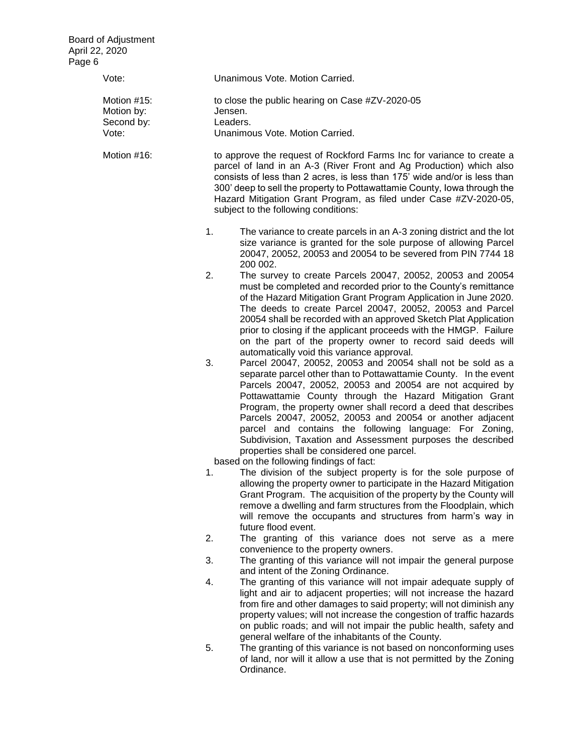| Vote:                                            | Unanimous Vote. Motion Carried.                                                                                                                                                                                                                                                                                                                                                                                                                                                                                                                                                                                   |
|--------------------------------------------------|-------------------------------------------------------------------------------------------------------------------------------------------------------------------------------------------------------------------------------------------------------------------------------------------------------------------------------------------------------------------------------------------------------------------------------------------------------------------------------------------------------------------------------------------------------------------------------------------------------------------|
| Motion #15:<br>Motion by:<br>Second by:<br>Vote: | to close the public hearing on Case #ZV-2020-05<br>Jensen.<br>Leaders.<br>Unanimous Vote. Motion Carried.                                                                                                                                                                                                                                                                                                                                                                                                                                                                                                         |
|                                                  |                                                                                                                                                                                                                                                                                                                                                                                                                                                                                                                                                                                                                   |
| Motion #16:                                      | to approve the request of Rockford Farms Inc for variance to create a<br>parcel of land in an A-3 (River Front and Ag Production) which also<br>consists of less than 2 acres, is less than 175' wide and/or is less than<br>300' deep to sell the property to Pottawattamie County, lowa through the<br>Hazard Mitigation Grant Program, as filed under Case #ZV-2020-05,<br>subject to the following conditions:                                                                                                                                                                                                |
|                                                  | 1.<br>The variance to create parcels in an A-3 zoning district and the lot<br>size variance is granted for the sole purpose of allowing Parcel<br>20047, 20052, 20053 and 20054 to be severed from PIN 7744 18<br>200 002.                                                                                                                                                                                                                                                                                                                                                                                        |
|                                                  | 2.<br>The survey to create Parcels 20047, 20052, 20053 and 20054<br>must be completed and recorded prior to the County's remittance<br>of the Hazard Mitigation Grant Program Application in June 2020.<br>The deeds to create Parcel 20047, 20052, 20053 and Parcel<br>20054 shall be recorded with an approved Sketch Plat Application<br>prior to closing if the applicant proceeds with the HMGP. Failure<br>on the part of the property owner to record said deeds will<br>automatically void this variance approval.                                                                                        |
|                                                  | 3.<br>Parcel 20047, 20052, 20053 and 20054 shall not be sold as a<br>separate parcel other than to Pottawattamie County. In the event<br>Parcels 20047, 20052, 20053 and 20054 are not acquired by<br>Pottawattamie County through the Hazard Mitigation Grant<br>Program, the property owner shall record a deed that describes<br>Parcels 20047, 20052, 20053 and 20054 or another adjacent<br>parcel and contains the following language: For Zoning,<br>Subdivision, Taxation and Assessment purposes the described<br>properties shall be considered one parcel.<br>based on the following findings of fact: |
|                                                  | The division of the subject property is for the sole purpose of<br>1.<br>allowing the property owner to participate in the Hazard Mitigation<br>Grant Program. The acquisition of the property by the County will<br>remove a dwelling and farm structures from the Floodplain, which<br>will remove the occupants and structures from harm's way in<br>future flood event.                                                                                                                                                                                                                                       |
|                                                  | 2.<br>The granting of this variance does not serve as a mere<br>convenience to the property owners.                                                                                                                                                                                                                                                                                                                                                                                                                                                                                                               |
|                                                  | 3.<br>The granting of this variance will not impair the general purpose<br>and intent of the Zoning Ordinance.                                                                                                                                                                                                                                                                                                                                                                                                                                                                                                    |
|                                                  | 4.<br>The granting of this variance will not impair adequate supply of<br>light and air to adjacent properties; will not increase the hazard<br>from fire and other damages to said property; will not diminish any<br>property values; will not increase the congestion of traffic hazards<br>on public roads; and will not impair the public health, safety and<br>general welfare of the inhabitants of the County.                                                                                                                                                                                            |
|                                                  | 5.<br>The granting of this variance is not based on nonconforming uses<br>of land, nor will it allow a use that is not permitted by the Zoning<br>Ordinance.                                                                                                                                                                                                                                                                                                                                                                                                                                                      |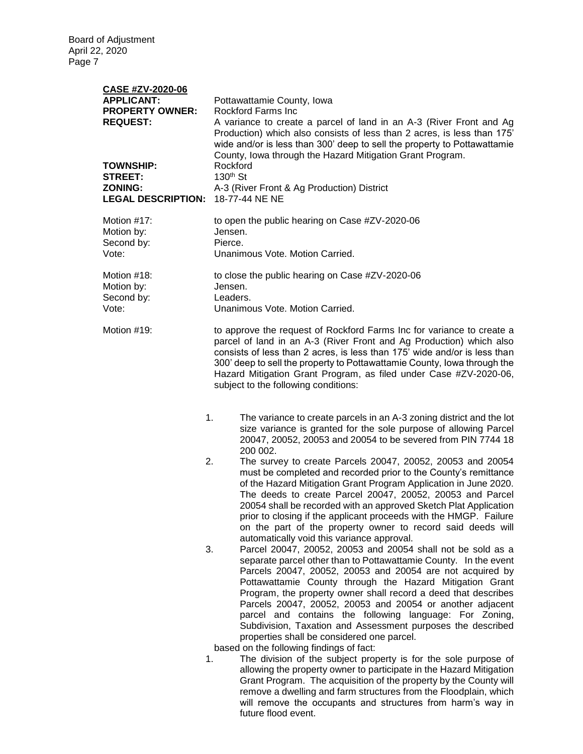| <b>CASE #ZV-2020-06</b><br><b>APPLICANT:</b><br><b>PROPERTY OWNER:</b><br><b>REQUEST:</b><br><b>TOWNSHIP:</b><br><b>STREET:</b><br><b>ZONING:</b><br><b>LEGAL DESCRIPTION:</b> | Pottawattamie County, Iowa<br>Rockford Farms Inc.<br>A variance to create a parcel of land in an A-3 (River Front and Ag<br>Production) which also consists of less than 2 acres, is less than 175'<br>wide and/or is less than 300' deep to sell the property to Pottawattamie<br>County, Iowa through the Hazard Mitigation Grant Program.<br>Rockford<br>130 <sup>th</sup> St<br>A-3 (River Front & Ag Production) District<br>18-77-44 NE NE                                                                                                                                                                                                                                                                                                                                                                                                                                                                                                                                                                                                                                                                                                                                                                                                                                                                                                                                                                                                                                                                                                                                                                                                                                                                          |  |  |
|--------------------------------------------------------------------------------------------------------------------------------------------------------------------------------|---------------------------------------------------------------------------------------------------------------------------------------------------------------------------------------------------------------------------------------------------------------------------------------------------------------------------------------------------------------------------------------------------------------------------------------------------------------------------------------------------------------------------------------------------------------------------------------------------------------------------------------------------------------------------------------------------------------------------------------------------------------------------------------------------------------------------------------------------------------------------------------------------------------------------------------------------------------------------------------------------------------------------------------------------------------------------------------------------------------------------------------------------------------------------------------------------------------------------------------------------------------------------------------------------------------------------------------------------------------------------------------------------------------------------------------------------------------------------------------------------------------------------------------------------------------------------------------------------------------------------------------------------------------------------------------------------------------------------|--|--|
| Motion #17:<br>Motion by:<br>Second by:<br>Vote:                                                                                                                               | to open the public hearing on Case #ZV-2020-06<br>Jensen.<br>Pierce.<br>Unanimous Vote. Motion Carried.                                                                                                                                                                                                                                                                                                                                                                                                                                                                                                                                                                                                                                                                                                                                                                                                                                                                                                                                                                                                                                                                                                                                                                                                                                                                                                                                                                                                                                                                                                                                                                                                                   |  |  |
| Motion #18:<br>Motion by:<br>Second by:<br>Vote:                                                                                                                               | to close the public hearing on Case #ZV-2020-06<br>Jensen.<br>Leaders.<br>Unanimous Vote. Motion Carried.                                                                                                                                                                                                                                                                                                                                                                                                                                                                                                                                                                                                                                                                                                                                                                                                                                                                                                                                                                                                                                                                                                                                                                                                                                                                                                                                                                                                                                                                                                                                                                                                                 |  |  |
| Motion #19:                                                                                                                                                                    | to approve the request of Rockford Farms Inc for variance to create a<br>parcel of land in an A-3 (River Front and Ag Production) which also<br>consists of less than 2 acres, is less than 175' wide and/or is less than<br>300' deep to sell the property to Pottawattamie County, lowa through the<br>Hazard Mitigation Grant Program, as filed under Case #ZV-2020-06,<br>subject to the following conditions:                                                                                                                                                                                                                                                                                                                                                                                                                                                                                                                                                                                                                                                                                                                                                                                                                                                                                                                                                                                                                                                                                                                                                                                                                                                                                                        |  |  |
| 2.<br>3.                                                                                                                                                                       | 1.<br>The variance to create parcels in an A-3 zoning district and the lot<br>size variance is granted for the sole purpose of allowing Parcel<br>20047, 20052, 20053 and 20054 to be severed from PIN 7744 18<br>200 002.<br>The survey to create Parcels 20047, 20052, 20053 and 20054<br>must be completed and recorded prior to the County's remittance<br>of the Hazard Mitigation Grant Program Application in June 2020.<br>The deeds to create Parcel 20047, 20052, 20053 and Parcel<br>20054 shall be recorded with an approved Sketch Plat Application<br>prior to closing if the applicant proceeds with the HMGP. Failure<br>on the part of the property owner to record said deeds will<br>automatically void this variance approval.<br>Parcel 20047, 20052, 20053 and 20054 shall not be sold as a<br>separate parcel other than to Pottawattamie County. In the event<br>Parcels 20047, 20052, 20053 and 20054 are not acquired by<br>Pottawattamie County through the Hazard Mitigation Grant<br>Program, the property owner shall record a deed that describes<br>Parcels 20047, 20052, 20053 and 20054 or another adjacent<br>parcel and contains the following language: For Zoning,<br>Subdivision, Taxation and Assessment purposes the described<br>properties shall be considered one parcel.<br>based on the following findings of fact:<br>1.<br>The division of the subject property is for the sole purpose of<br>allowing the property owner to participate in the Hazard Mitigation<br>Grant Program. The acquisition of the property by the County will<br>remove a dwelling and farm structures from the Floodplain, which<br>will remove the occupants and structures from harm's way in |  |  |

future flood event.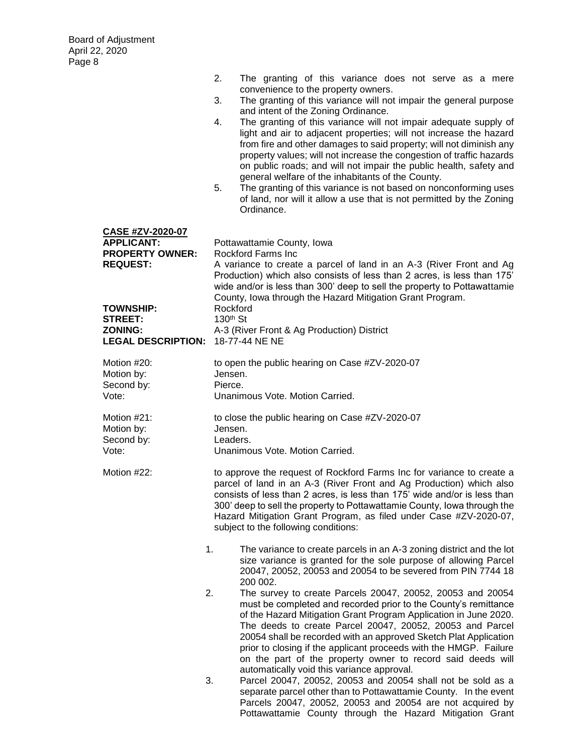|                                                                                                                                 | 2.                               | The granting of this variance does not serve as a mere<br>convenience to the property owners.                                                                                                                                                                                                                                                                                                                                                                                                                                                                              |
|---------------------------------------------------------------------------------------------------------------------------------|----------------------------------|----------------------------------------------------------------------------------------------------------------------------------------------------------------------------------------------------------------------------------------------------------------------------------------------------------------------------------------------------------------------------------------------------------------------------------------------------------------------------------------------------------------------------------------------------------------------------|
|                                                                                                                                 | 3.                               | The granting of this variance will not impair the general purpose<br>and intent of the Zoning Ordinance.                                                                                                                                                                                                                                                                                                                                                                                                                                                                   |
|                                                                                                                                 | 4.<br>5.                         | The granting of this variance will not impair adequate supply of<br>light and air to adjacent properties; will not increase the hazard<br>from fire and other damages to said property; will not diminish any<br>property values; will not increase the congestion of traffic hazards<br>on public roads; and will not impair the public health, safety and<br>general welfare of the inhabitants of the County.<br>The granting of this variance is not based on nonconforming uses<br>of land, nor will it allow a use that is not permitted by the Zoning<br>Ordinance. |
| <b>CASE #ZV-2020-07</b><br><b>APPLICANT:</b><br><b>PROPERTY OWNER:</b><br><b>REQUEST:</b><br><b>TOWNSHIP:</b><br><b>STREET:</b> | Rockford<br>130 <sup>th</sup> St | Pottawattamie County, Iowa<br><b>Rockford Farms Inc</b><br>A variance to create a parcel of land in an A-3 (River Front and Ag<br>Production) which also consists of less than 2 acres, is less than 175'<br>wide and/or is less than 300' deep to sell the property to Pottawattamie<br>County, Iowa through the Hazard Mitigation Grant Program.                                                                                                                                                                                                                         |
| <b>ZONING:</b><br><b>LEGAL DESCRIPTION:</b>                                                                                     |                                  | A-3 (River Front & Ag Production) District<br>18-77-44 NE NE                                                                                                                                                                                                                                                                                                                                                                                                                                                                                                               |
| Motion #20:<br>Motion by:<br>Second by:<br>Vote:                                                                                | Jensen.<br>Pierce.               | to open the public hearing on Case #ZV-2020-07<br>Unanimous Vote. Motion Carried.                                                                                                                                                                                                                                                                                                                                                                                                                                                                                          |
|                                                                                                                                 |                                  |                                                                                                                                                                                                                                                                                                                                                                                                                                                                                                                                                                            |
| Motion #21:<br>Motion by:                                                                                                       | Jensen.                          | to close the public hearing on Case #ZV-2020-07                                                                                                                                                                                                                                                                                                                                                                                                                                                                                                                            |
| Second by:<br>Vote:                                                                                                             | Leaders.                         | Unanimous Vote, Motion Carried.                                                                                                                                                                                                                                                                                                                                                                                                                                                                                                                                            |
| Motion #22:                                                                                                                     |                                  | to approve the request of Rockford Farms Inc for variance to create a<br>parcel of land in an A-3 (River Front and Ag Production) which also<br>consists of less than 2 acres, is less than 175' wide and/or is less than<br>300' deep to sell the property to Pottawattamie County, lowa through the<br>Hazard Mitigation Grant Program, as filed under Case #ZV-2020-07,<br>subject to the following conditions:                                                                                                                                                         |
|                                                                                                                                 | 1.                               | The variance to create parcels in an A-3 zoning district and the lot<br>size variance is granted for the sole purpose of allowing Parcel<br>20047, 20052, 20053 and 20054 to be severed from PIN 7744 18                                                                                                                                                                                                                                                                                                                                                                   |
|                                                                                                                                 | 2.                               | 200 002.<br>The survey to create Parcels 20047, 20052, 20053 and 20054<br>must be completed and recorded prior to the County's remittance<br>of the Hazard Mitigation Grant Program Application in June 2020.<br>The deeds to create Parcel 20047, 20052, 20053 and Parcel<br>20054 shall be recorded with an approved Sketch Plat Application<br>prior to closing if the applicant proceeds with the HMGP. Failure<br>on the part of the property owner to record said deeds will<br>automatically void this variance approval.                                           |
|                                                                                                                                 | 3.                               | Parcel 20047, 20052, 20053 and 20054 shall not be sold as a<br>separate parcel other than to Pottawattamie County. In the event<br>Parcels 20047, 20052, 20053 and 20054 are not acquired by                                                                                                                                                                                                                                                                                                                                                                               |

Pottawattamie County through the Hazard Mitigation Grant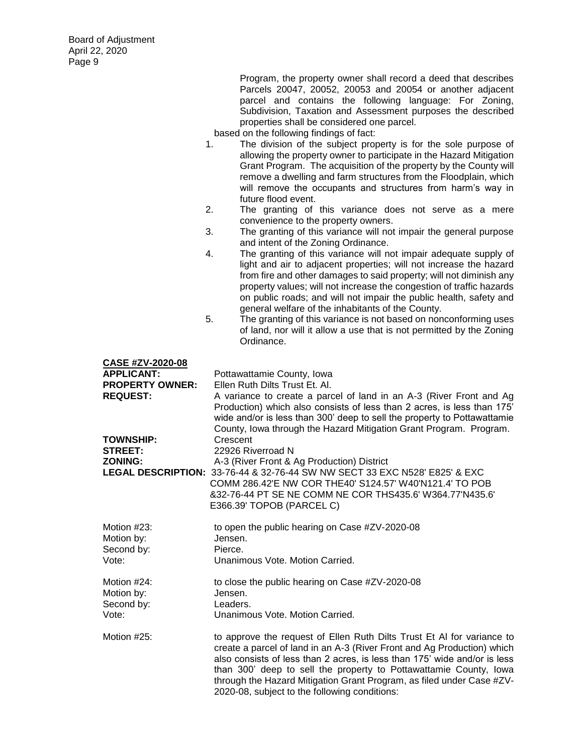Program, the property owner shall record a deed that describes Parcels 20047, 20052, 20053 and 20054 or another adjacent parcel and contains the following language: For Zoning, Subdivision, Taxation and Assessment purposes the described properties shall be considered one parcel.

- 1. The division of the subject property is for the sole purpose of allowing the property owner to participate in the Hazard Mitigation Grant Program. The acquisition of the property by the County will remove a dwelling and farm structures from the Floodplain, which will remove the occupants and structures from harm's way in future flood event.
- 2. The granting of this variance does not serve as a mere convenience to the property owners.
- 3. The granting of this variance will not impair the general purpose and intent of the Zoning Ordinance.
- 4. The granting of this variance will not impair adequate supply of light and air to adjacent properties; will not increase the hazard from fire and other damages to said property; will not diminish any property values; will not increase the congestion of traffic hazards on public roads; and will not impair the public health, safety and general welfare of the inhabitants of the County.
- 5. The granting of this variance is not based on nonconforming uses of land, nor will it allow a use that is not permitted by the Zoning Ordinance.

| <b>CASE #ZV-2020-08</b>  |                                                                            |
|--------------------------|----------------------------------------------------------------------------|
| <b>APPLICANT:</b>        | Pottawattamie County, Iowa                                                 |
| <b>PROPERTY OWNER:</b>   | Ellen Ruth Dilts Trust Et. Al.                                             |
| <b>REQUEST:</b>          | A variance to create a parcel of land in an A-3 (River Front and Ag        |
|                          | Production) which also consists of less than 2 acres, is less than 175'    |
|                          | wide and/or is less than 300' deep to sell the property to Pottawattamie   |
|                          | County, Iowa through the Hazard Mitigation Grant Program. Program.         |
| TOWNSHIP:                | Crescent                                                                   |
| <b>STREET:</b>           | 22926 Riverroad N                                                          |
| ZONING:                  | A-3 (River Front & Ag Production) District                                 |
|                          | LEGAL DESCRIPTION: 33-76-44 & 32-76-44 SW NW SECT 33 EXC N528' E825' & EXC |
|                          | COMM 286.42'E NW COR THE40' S124.57' W40'N121.4' TO POB                    |
|                          | 832-76-44 PT SE NE COMM NE COR THS435.6' W364.77'N435.6'                   |
|                          | E366.39' TOPOB (PARCEL C)                                                  |
| Motion #23:              | to open the public hearing on Case #ZV-2020-08                             |
| Motion by:               | Jensen.                                                                    |
| Second by:               | Pierce.                                                                    |
| Vote:                    | Unanimous Vote, Motion Carried.                                            |
|                          |                                                                            |
| Motion #24:              | to close the public hearing on Case #ZV-2020-08<br>Jensen.                 |
| Motion by:<br>Second by: | Leaders.                                                                   |
| Vote:                    | Unanimous Vote, Motion Carried.                                            |
|                          |                                                                            |
| Motion #25:              | to approve the request of Ellen Ruth Dilts Trust Et AI for variance to     |
|                          | create a parcel of land in an A-3 (River Front and Ag Production) which    |
|                          | also consists of less than 2 acres, is less than 175' wide and/or is less  |
|                          | than 300' deep to sell the property to Pottawattamie County, Iowa          |
|                          | through the Hazard Mitigation Grant Program, as filed under Case #ZV-      |
|                          | 2020-08, subject to the following conditions:                              |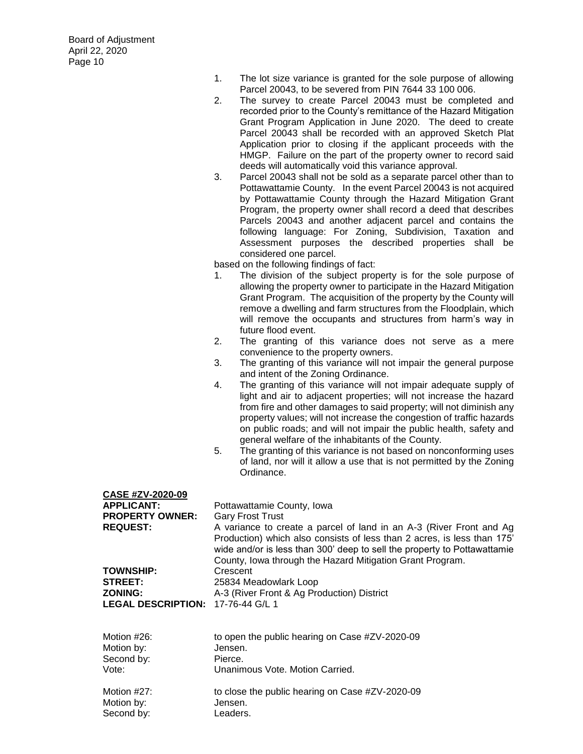- 1. The lot size variance is granted for the sole purpose of allowing Parcel 20043, to be severed from PIN 7644 33 100 006.
- 2. The survey to create Parcel 20043 must be completed and recorded prior to the County's remittance of the Hazard Mitigation Grant Program Application in June 2020. The deed to create Parcel 20043 shall be recorded with an approved Sketch Plat Application prior to closing if the applicant proceeds with the HMGP. Failure on the part of the property owner to record said deeds will automatically void this variance approval.
- 3. Parcel 20043 shall not be sold as a separate parcel other than to Pottawattamie County. In the event Parcel 20043 is not acquired by Pottawattamie County through the Hazard Mitigation Grant Program, the property owner shall record a deed that describes Parcels 20043 and another adjacent parcel and contains the following language: For Zoning, Subdivision, Taxation and Assessment purposes the described properties shall be considered one parcel.

- 1. The division of the subject property is for the sole purpose of allowing the property owner to participate in the Hazard Mitigation Grant Program. The acquisition of the property by the County will remove a dwelling and farm structures from the Floodplain, which will remove the occupants and structures from harm's way in future flood event.
- 2. The granting of this variance does not serve as a mere convenience to the property owners.
- 3. The granting of this variance will not impair the general purpose and intent of the Zoning Ordinance.
- 4. The granting of this variance will not impair adequate supply of light and air to adjacent properties; will not increase the hazard from fire and other damages to said property; will not diminish any property values; will not increase the congestion of traffic hazards on public roads; and will not impair the public health, safety and general welfare of the inhabitants of the County.
- 5. The granting of this variance is not based on nonconforming uses of land, nor will it allow a use that is not permitted by the Zoning Ordinance.

| <b>CASE #ZV-2020-09</b>                  |                                                                                                                                                                                                                                                                                         |
|------------------------------------------|-----------------------------------------------------------------------------------------------------------------------------------------------------------------------------------------------------------------------------------------------------------------------------------------|
| <b>APPLICANT:</b>                        | Pottawattamie County, Iowa                                                                                                                                                                                                                                                              |
| <b>PROPERTY OWNER:</b>                   | <b>Gary Frost Trust</b>                                                                                                                                                                                                                                                                 |
| <b>REQUEST:</b>                          | A variance to create a parcel of land in an A-3 (River Front and Ag<br>Production) which also consists of less than 2 acres, is less than 175'<br>wide and/or is less than 300' deep to sell the property to Pottawattamie<br>County, Iowa through the Hazard Mitigation Grant Program. |
| <b>TOWNSHIP:</b>                         | Crescent                                                                                                                                                                                                                                                                                |
| <b>STREET:</b>                           | 25834 Meadowlark Loop                                                                                                                                                                                                                                                                   |
| <b>ZONING:</b>                           | A-3 (River Front & Ag Production) District                                                                                                                                                                                                                                              |
| <b>LEGAL DESCRIPTION: 17-76-44 G/L 1</b> |                                                                                                                                                                                                                                                                                         |
| Motion #26:<br>Motion by:                | to open the public hearing on Case #ZV-2020-09<br>Jensen.                                                                                                                                                                                                                               |
| Second by:                               | Pierce.                                                                                                                                                                                                                                                                                 |
| Vote:                                    | Unanimous Vote, Motion Carried.                                                                                                                                                                                                                                                         |
| Motion #27:<br>Motion by:<br>Second by:  | to close the public hearing on Case #ZV-2020-09<br>Jensen.<br>Leaders.                                                                                                                                                                                                                  |
|                                          |                                                                                                                                                                                                                                                                                         |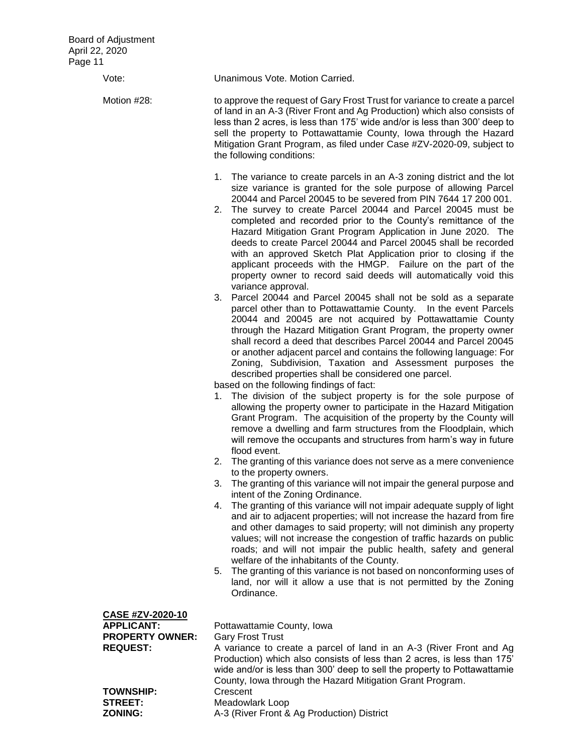| 11 (                                                                               |                                                                                                                                                                                                                                                                                                                                                                                                                                                                                                                                                                                                                                                                                                                    |
|------------------------------------------------------------------------------------|--------------------------------------------------------------------------------------------------------------------------------------------------------------------------------------------------------------------------------------------------------------------------------------------------------------------------------------------------------------------------------------------------------------------------------------------------------------------------------------------------------------------------------------------------------------------------------------------------------------------------------------------------------------------------------------------------------------------|
| Vote:                                                                              | Unanimous Vote. Motion Carried.                                                                                                                                                                                                                                                                                                                                                                                                                                                                                                                                                                                                                                                                                    |
| Motion #28:                                                                        | to approve the request of Gary Frost Trust for variance to create a parcel<br>of land in an A-3 (River Front and Ag Production) which also consists of<br>less than 2 acres, is less than 175' wide and/or is less than 300' deep to<br>sell the property to Pottawattamie County, Iowa through the Hazard<br>Mitigation Grant Program, as filed under Case #ZV-2020-09, subject to<br>the following conditions:                                                                                                                                                                                                                                                                                                   |
|                                                                                    | 1. The variance to create parcels in an A-3 zoning district and the lot<br>size variance is granted for the sole purpose of allowing Parcel<br>20044 and Parcel 20045 to be severed from PIN 7644 17 200 001.<br>2. The survey to create Parcel 20044 and Parcel 20045 must be<br>completed and recorded prior to the County's remittance of the<br>Hazard Mitigation Grant Program Application in June 2020. The<br>deeds to create Parcel 20044 and Parcel 20045 shall be recorded<br>with an approved Sketch Plat Application prior to closing if the<br>applicant proceeds with the HMGP. Failure on the part of the<br>property owner to record said deeds will automatically void this<br>variance approval. |
|                                                                                    | 3. Parcel 20044 and Parcel 20045 shall not be sold as a separate<br>parcel other than to Pottawattamie County. In the event Parcels<br>20044 and 20045 are not acquired by Pottawattamie County<br>through the Hazard Mitigation Grant Program, the property owner<br>shall record a deed that describes Parcel 20044 and Parcel 20045<br>or another adjacent parcel and contains the following language: For<br>Zoning, Subdivision, Taxation and Assessment purposes the<br>described properties shall be considered one parcel.                                                                                                                                                                                 |
|                                                                                    | based on the following findings of fact:<br>1. The division of the subject property is for the sole purpose of<br>allowing the property owner to participate in the Hazard Mitigation<br>Grant Program. The acquisition of the property by the County will<br>remove a dwelling and farm structures from the Floodplain, which<br>will remove the occupants and structures from harm's way in future<br>flood event.<br>2. The granting of this variance does not serve as a mere convenience                                                                                                                                                                                                                      |
|                                                                                    | to the property owners.<br>The granting of this variance will not impair the general purpose and<br>3.<br>intent of the Zoning Ordinance.                                                                                                                                                                                                                                                                                                                                                                                                                                                                                                                                                                          |
|                                                                                    | The granting of this variance will not impair adequate supply of light<br>4.<br>and air to adjacent properties; will not increase the hazard from fire<br>and other damages to said property; will not diminish any property<br>values; will not increase the congestion of traffic hazards on public<br>roads; and will not impair the public health, safety and general<br>welfare of the inhabitants of the County.<br>The granting of this variance is not based on nonconforming uses of<br>5.                                                                                                                                                                                                                |
|                                                                                    | land, nor will it allow a use that is not permitted by the Zoning<br>Ordinance.                                                                                                                                                                                                                                                                                                                                                                                                                                                                                                                                                                                                                                    |
| CASE #ZV-2020-10<br><b>APPLICANT:</b><br><b>PROPERTY OWNER:</b><br><b>REQUEST:</b> | Pottawattamie County, Iowa<br><b>Gary Frost Trust</b><br>A variance to create a parcel of land in an A-3 (River Front and Ag<br>Production) which also consists of less than 2 acres, is less than 175'<br>wide and/or is less than 300' deep to sell the property to Pottawattamie                                                                                                                                                                                                                                                                                                                                                                                                                                |
| <b>TOWNSHIP:</b><br><b>STREET:</b><br><b>ZONING:</b>                               | County, Iowa through the Hazard Mitigation Grant Program.<br>Crescent<br>Meadowlark Loop<br>A-3 (River Front & Ag Production) District                                                                                                                                                                                                                                                                                                                                                                                                                                                                                                                                                                             |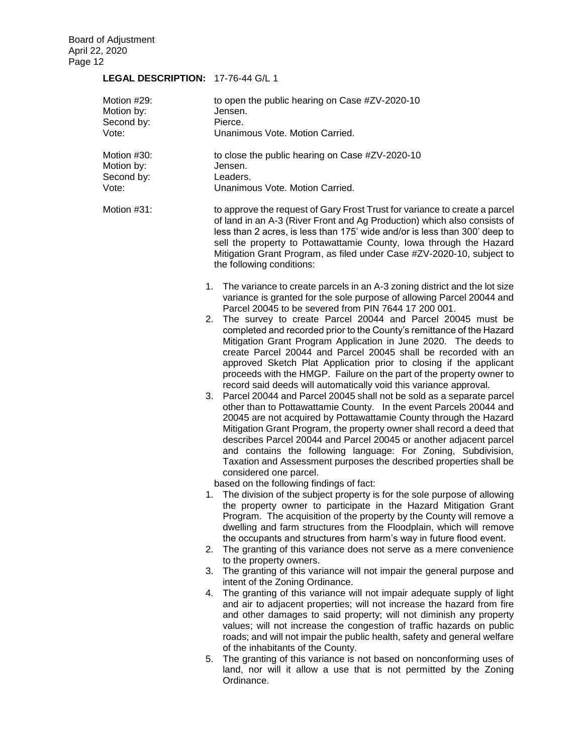# **LEGAL DESCRIPTION:** 17-76-44 G/L 1

| Motion #29:<br>Motion by:<br>Second by:<br>Vote: | to open the public hearing on Case #ZV-2020-10<br>Jensen.<br>Pierce.<br>Unanimous Vote. Motion Carried.                                                                                                                                                                                                                                                                                                                                                                                                                                                                                                                                                                                                                                                                                                                                                                                                                                                                                                                                                                                                                                                                                                                                                     |
|--------------------------------------------------|-------------------------------------------------------------------------------------------------------------------------------------------------------------------------------------------------------------------------------------------------------------------------------------------------------------------------------------------------------------------------------------------------------------------------------------------------------------------------------------------------------------------------------------------------------------------------------------------------------------------------------------------------------------------------------------------------------------------------------------------------------------------------------------------------------------------------------------------------------------------------------------------------------------------------------------------------------------------------------------------------------------------------------------------------------------------------------------------------------------------------------------------------------------------------------------------------------------------------------------------------------------|
| Motion #30:<br>Motion by:<br>Second by:<br>Vote: | to close the public hearing on Case #ZV-2020-10<br>Jensen.<br>Leaders.<br>Unanimous Vote. Motion Carried.                                                                                                                                                                                                                                                                                                                                                                                                                                                                                                                                                                                                                                                                                                                                                                                                                                                                                                                                                                                                                                                                                                                                                   |
| Motion #31:                                      | to approve the request of Gary Frost Trust for variance to create a parcel<br>of land in an A-3 (River Front and Ag Production) which also consists of<br>less than 2 acres, is less than 175' wide and/or is less than 300' deep to<br>sell the property to Pottawattamie County, Iowa through the Hazard<br>Mitigation Grant Program, as filed under Case #ZV-2020-10, subject to<br>the following conditions:                                                                                                                                                                                                                                                                                                                                                                                                                                                                                                                                                                                                                                                                                                                                                                                                                                            |
|                                                  | 1. The variance to create parcels in an A-3 zoning district and the lot size<br>variance is granted for the sole purpose of allowing Parcel 20044 and<br>Parcel 20045 to be severed from PIN 7644 17 200 001.<br>The survey to create Parcel 20044 and Parcel 20045 must be<br>2.<br>completed and recorded prior to the County's remittance of the Hazard<br>Mitigation Grant Program Application in June 2020. The deeds to<br>create Parcel 20044 and Parcel 20045 shall be recorded with an<br>approved Sketch Plat Application prior to closing if the applicant<br>proceeds with the HMGP. Failure on the part of the property owner to<br>record said deeds will automatically void this variance approval.<br>Parcel 20044 and Parcel 20045 shall not be sold as a separate parcel<br>3.<br>other than to Pottawattamie County. In the event Parcels 20044 and<br>20045 are not acquired by Pottawattamie County through the Hazard<br>Mitigation Grant Program, the property owner shall record a deed that<br>describes Parcel 20044 and Parcel 20045 or another adjacent parcel<br>and contains the following language: For Zoning, Subdivision,<br>Taxation and Assessment purposes the described properties shall be<br>considered one parcel. |
|                                                  | based on the following findings of fact:<br>The division of the subject property is for the sole purpose of allowing<br>1.<br>the property owner to participate in the Hazard Mitigation Grant<br>Program. The acquisition of the property by the County will remove a<br>dwelling and farm structures from the Floodplain, which will remove<br>the occupants and structures from harm's way in future flood event.<br>2.                                                                                                                                                                                                                                                                                                                                                                                                                                                                                                                                                                                                                                                                                                                                                                                                                                  |
|                                                  | The granting of this variance does not serve as a mere convenience<br>to the property owners.                                                                                                                                                                                                                                                                                                                                                                                                                                                                                                                                                                                                                                                                                                                                                                                                                                                                                                                                                                                                                                                                                                                                                               |
|                                                  | The granting of this variance will not impair the general purpose and<br>3.<br>intent of the Zoning Ordinance.                                                                                                                                                                                                                                                                                                                                                                                                                                                                                                                                                                                                                                                                                                                                                                                                                                                                                                                                                                                                                                                                                                                                              |
|                                                  | The granting of this variance will not impair adequate supply of light<br>4.<br>and air to adjacent properties; will not increase the hazard from fire<br>and other damages to said property; will not diminish any property<br>values; will not increase the congestion of traffic hazards on public<br>roads; and will not impair the public health, safety and general welfare<br>of the inhabitants of the County.                                                                                                                                                                                                                                                                                                                                                                                                                                                                                                                                                                                                                                                                                                                                                                                                                                      |
|                                                  | The granting of this variance is not based on nonconforming uses of<br>5.<br>land, nor will it allow a use that is not permitted by the Zoning<br>Ordinance.                                                                                                                                                                                                                                                                                                                                                                                                                                                                                                                                                                                                                                                                                                                                                                                                                                                                                                                                                                                                                                                                                                |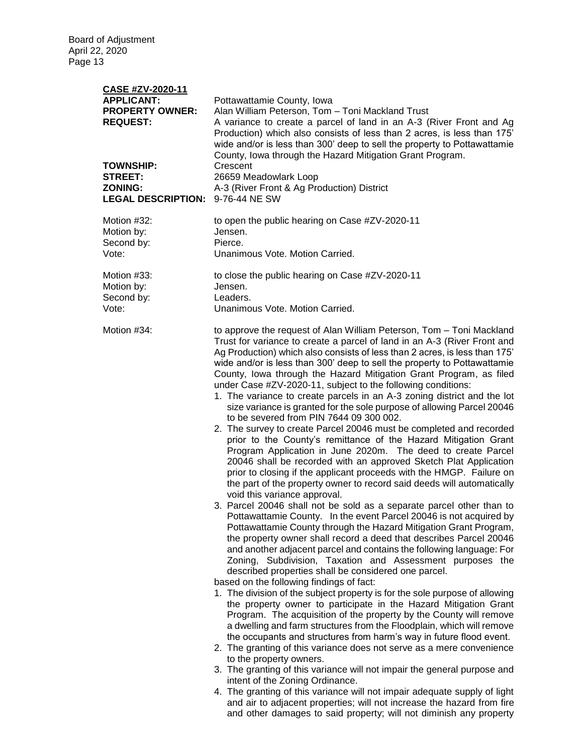| CASE #ZV-2020-11<br><b>APPLICANT:</b><br><b>PROPERTY OWNER:</b><br><b>REQUEST:</b><br><b>TOWNSHIP:</b><br><b>STREET:</b><br><b>ZONING:</b><br><b>LEGAL DESCRIPTION:</b> | Pottawattamie County, Iowa<br>Alan William Peterson, Tom - Toni Mackland Trust<br>A variance to create a parcel of land in an A-3 (River Front and Ag<br>Production) which also consists of less than 2 acres, is less than 175'<br>wide and/or is less than 300' deep to sell the property to Pottawattamie<br>County, Iowa through the Hazard Mitigation Grant Program.<br>Crescent<br>26659 Meadowlark Loop<br>A-3 (River Front & Ag Production) District<br>9-76-44 NE SW                                                                                                                                                                                                                                                                                                                                                                                                                                                                                                                                                                                                                                                                                                                                                                                                                                                                                                                                                                                                                                                                                                                                                                                                                                                                                                                                                                                                                                                                                                                                                                                                                                                                                                                                                                                                                                                                                                                                                                                               |
|-------------------------------------------------------------------------------------------------------------------------------------------------------------------------|-----------------------------------------------------------------------------------------------------------------------------------------------------------------------------------------------------------------------------------------------------------------------------------------------------------------------------------------------------------------------------------------------------------------------------------------------------------------------------------------------------------------------------------------------------------------------------------------------------------------------------------------------------------------------------------------------------------------------------------------------------------------------------------------------------------------------------------------------------------------------------------------------------------------------------------------------------------------------------------------------------------------------------------------------------------------------------------------------------------------------------------------------------------------------------------------------------------------------------------------------------------------------------------------------------------------------------------------------------------------------------------------------------------------------------------------------------------------------------------------------------------------------------------------------------------------------------------------------------------------------------------------------------------------------------------------------------------------------------------------------------------------------------------------------------------------------------------------------------------------------------------------------------------------------------------------------------------------------------------------------------------------------------------------------------------------------------------------------------------------------------------------------------------------------------------------------------------------------------------------------------------------------------------------------------------------------------------------------------------------------------------------------------------------------------------------------------------------------------|
| Motion #32:                                                                                                                                                             | to open the public hearing on Case #ZV-2020-11                                                                                                                                                                                                                                                                                                                                                                                                                                                                                                                                                                                                                                                                                                                                                                                                                                                                                                                                                                                                                                                                                                                                                                                                                                                                                                                                                                                                                                                                                                                                                                                                                                                                                                                                                                                                                                                                                                                                                                                                                                                                                                                                                                                                                                                                                                                                                                                                                              |
| Motion by:                                                                                                                                                              | Jensen.                                                                                                                                                                                                                                                                                                                                                                                                                                                                                                                                                                                                                                                                                                                                                                                                                                                                                                                                                                                                                                                                                                                                                                                                                                                                                                                                                                                                                                                                                                                                                                                                                                                                                                                                                                                                                                                                                                                                                                                                                                                                                                                                                                                                                                                                                                                                                                                                                                                                     |
| Second by:                                                                                                                                                              | Pierce.                                                                                                                                                                                                                                                                                                                                                                                                                                                                                                                                                                                                                                                                                                                                                                                                                                                                                                                                                                                                                                                                                                                                                                                                                                                                                                                                                                                                                                                                                                                                                                                                                                                                                                                                                                                                                                                                                                                                                                                                                                                                                                                                                                                                                                                                                                                                                                                                                                                                     |
| Vote:                                                                                                                                                                   | Unanimous Vote. Motion Carried.                                                                                                                                                                                                                                                                                                                                                                                                                                                                                                                                                                                                                                                                                                                                                                                                                                                                                                                                                                                                                                                                                                                                                                                                                                                                                                                                                                                                                                                                                                                                                                                                                                                                                                                                                                                                                                                                                                                                                                                                                                                                                                                                                                                                                                                                                                                                                                                                                                             |
| Motion #33:                                                                                                                                                             | to close the public hearing on Case #ZV-2020-11                                                                                                                                                                                                                                                                                                                                                                                                                                                                                                                                                                                                                                                                                                                                                                                                                                                                                                                                                                                                                                                                                                                                                                                                                                                                                                                                                                                                                                                                                                                                                                                                                                                                                                                                                                                                                                                                                                                                                                                                                                                                                                                                                                                                                                                                                                                                                                                                                             |
| Motion by:                                                                                                                                                              | Jensen.                                                                                                                                                                                                                                                                                                                                                                                                                                                                                                                                                                                                                                                                                                                                                                                                                                                                                                                                                                                                                                                                                                                                                                                                                                                                                                                                                                                                                                                                                                                                                                                                                                                                                                                                                                                                                                                                                                                                                                                                                                                                                                                                                                                                                                                                                                                                                                                                                                                                     |
| Second by:                                                                                                                                                              | Leaders.                                                                                                                                                                                                                                                                                                                                                                                                                                                                                                                                                                                                                                                                                                                                                                                                                                                                                                                                                                                                                                                                                                                                                                                                                                                                                                                                                                                                                                                                                                                                                                                                                                                                                                                                                                                                                                                                                                                                                                                                                                                                                                                                                                                                                                                                                                                                                                                                                                                                    |
| Vote:                                                                                                                                                                   | Unanimous Vote. Motion Carried.                                                                                                                                                                                                                                                                                                                                                                                                                                                                                                                                                                                                                                                                                                                                                                                                                                                                                                                                                                                                                                                                                                                                                                                                                                                                                                                                                                                                                                                                                                                                                                                                                                                                                                                                                                                                                                                                                                                                                                                                                                                                                                                                                                                                                                                                                                                                                                                                                                             |
| Motion #34:                                                                                                                                                             | to approve the request of Alan William Peterson, Tom - Toni Mackland<br>Trust for variance to create a parcel of land in an A-3 (River Front and<br>Ag Production) which also consists of less than 2 acres, is less than 175'<br>wide and/or is less than 300' deep to sell the property to Pottawattamie<br>County, Iowa through the Hazard Mitigation Grant Program, as filed<br>under Case #ZV-2020-11, subject to the following conditions:<br>1. The variance to create parcels in an A-3 zoning district and the lot<br>size variance is granted for the sole purpose of allowing Parcel 20046<br>to be severed from PIN 7644 09 300 002.<br>2. The survey to create Parcel 20046 must be completed and recorded<br>prior to the County's remittance of the Hazard Mitigation Grant<br>Program Application in June 2020m. The deed to create Parcel<br>20046 shall be recorded with an approved Sketch Plat Application<br>prior to closing if the applicant proceeds with the HMGP. Failure on<br>the part of the property owner to record said deeds will automatically<br>void this variance approval.<br>3. Parcel 20046 shall not be sold as a separate parcel other than to<br>Pottawattamie County. In the event Parcel 20046 is not acquired by<br>Pottawattamie County through the Hazard Mitigation Grant Program,<br>the property owner shall record a deed that describes Parcel 20046<br>and another adjacent parcel and contains the following language: For<br>Zoning, Subdivision, Taxation and Assessment purposes the<br>described properties shall be considered one parcel.<br>based on the following findings of fact:<br>1. The division of the subject property is for the sole purpose of allowing<br>the property owner to participate in the Hazard Mitigation Grant<br>Program. The acquisition of the property by the County will remove<br>a dwelling and farm structures from the Floodplain, which will remove<br>the occupants and structures from harm's way in future flood event.<br>2. The granting of this variance does not serve as a mere convenience<br>to the property owners.<br>3. The granting of this variance will not impair the general purpose and<br>intent of the Zoning Ordinance.<br>4. The granting of this variance will not impair adequate supply of light<br>and air to adjacent properties; will not increase the hazard from fire<br>and other damages to said property; will not diminish any property |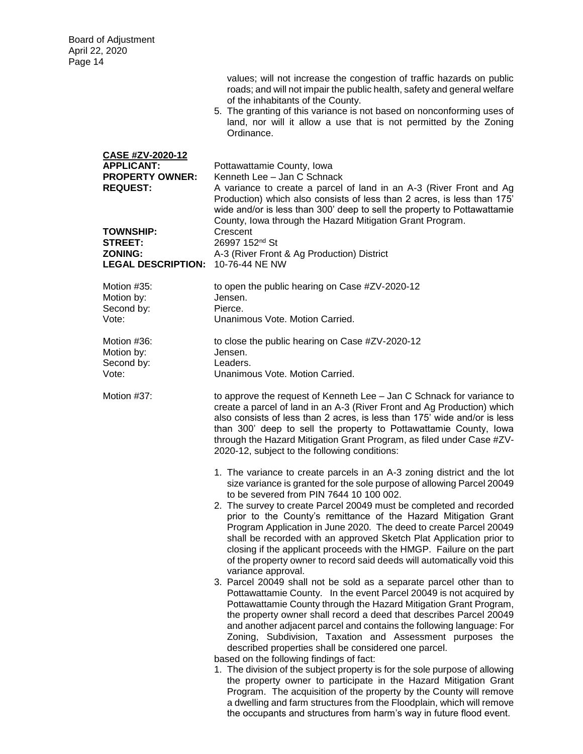|                                                                                           | values; will not increase the congestion of traffic hazards on public<br>roads; and will not impair the public health, safety and general welfare<br>of the inhabitants of the County.<br>5. The granting of this variance is not based on nonconforming uses of<br>land, nor will it allow a use that is not permitted by the Zoning<br>Ordinance.                                                                                                                                                                                                                                                                                                                                                                                                                                                                                                                                                                                                                                                                                                                                                                                                                                                                                                                                                                                              |
|-------------------------------------------------------------------------------------------|--------------------------------------------------------------------------------------------------------------------------------------------------------------------------------------------------------------------------------------------------------------------------------------------------------------------------------------------------------------------------------------------------------------------------------------------------------------------------------------------------------------------------------------------------------------------------------------------------------------------------------------------------------------------------------------------------------------------------------------------------------------------------------------------------------------------------------------------------------------------------------------------------------------------------------------------------------------------------------------------------------------------------------------------------------------------------------------------------------------------------------------------------------------------------------------------------------------------------------------------------------------------------------------------------------------------------------------------------|
| <b>CASE #ZV-2020-12</b><br><b>APPLICANT:</b><br><b>PROPERTY OWNER:</b><br><b>REQUEST:</b> | Pottawattamie County, Iowa<br>Kenneth Lee - Jan C Schnack<br>A variance to create a parcel of land in an A-3 (River Front and Ag<br>Production) which also consists of less than 2 acres, is less than 175'<br>wide and/or is less than 300' deep to sell the property to Pottawattamie<br>County, Iowa through the Hazard Mitigation Grant Program.                                                                                                                                                                                                                                                                                                                                                                                                                                                                                                                                                                                                                                                                                                                                                                                                                                                                                                                                                                                             |
| <b>TOWNSHIP:</b><br><b>STREET:</b><br><b>ZONING:</b><br>LEGAL DESCRIPTION: 10-76-44 NE NW | Crescent<br>26997 152 <sup>nd</sup> St<br>A-3 (River Front & Ag Production) District                                                                                                                                                                                                                                                                                                                                                                                                                                                                                                                                                                                                                                                                                                                                                                                                                                                                                                                                                                                                                                                                                                                                                                                                                                                             |
| Motion #35:<br>Motion by:<br>Second by:<br>Vote:                                          | to open the public hearing on Case #ZV-2020-12<br>Jensen.<br>Pierce.<br>Unanimous Vote, Motion Carried.                                                                                                                                                                                                                                                                                                                                                                                                                                                                                                                                                                                                                                                                                                                                                                                                                                                                                                                                                                                                                                                                                                                                                                                                                                          |
| Motion #36:<br>Motion by:<br>Second by:<br>Vote:                                          | to close the public hearing on Case #ZV-2020-12<br>Jensen.<br>Leaders.<br>Unanimous Vote. Motion Carried.                                                                                                                                                                                                                                                                                                                                                                                                                                                                                                                                                                                                                                                                                                                                                                                                                                                                                                                                                                                                                                                                                                                                                                                                                                        |
| Motion #37:                                                                               | to approve the request of Kenneth Lee - Jan C Schnack for variance to<br>create a parcel of land in an A-3 (River Front and Ag Production) which<br>also consists of less than 2 acres, is less than 175' wide and/or is less<br>than 300' deep to sell the property to Pottawattamie County, lowa<br>through the Hazard Mitigation Grant Program, as filed under Case #ZV-<br>2020-12, subject to the following conditions:                                                                                                                                                                                                                                                                                                                                                                                                                                                                                                                                                                                                                                                                                                                                                                                                                                                                                                                     |
|                                                                                           | 1. The variance to create parcels in an A-3 zoning district and the lot<br>size variance is granted for the sole purpose of allowing Parcel 20049<br>to be severed from PIN 7644 10 100 002.<br>2. The survey to create Parcel 20049 must be completed and recorded<br>prior to the County's remittance of the Hazard Mitigation Grant<br>Program Application in June 2020. The deed to create Parcel 20049<br>shall be recorded with an approved Sketch Plat Application prior to<br>closing if the applicant proceeds with the HMGP. Failure on the part<br>of the property owner to record said deeds will automatically void this<br>variance approval.<br>3. Parcel 20049 shall not be sold as a separate parcel other than to<br>Pottawattamie County. In the event Parcel 20049 is not acquired by<br>Pottawattamie County through the Hazard Mitigation Grant Program,<br>the property owner shall record a deed that describes Parcel 20049<br>and another adjacent parcel and contains the following language: For<br>Zoning, Subdivision, Taxation and Assessment purposes the<br>described properties shall be considered one parcel.<br>based on the following findings of fact:<br>1. The division of the subject property is for the sole purpose of allowing<br>the property owner to participate in the Hazard Mitigation Grant |
|                                                                                           | Program. The acquisition of the property by the County will remove<br>a dwelling and farm structures from the Floodplain, which will remove<br>the occupants and structures from harm's way in future flood event.                                                                                                                                                                                                                                                                                                                                                                                                                                                                                                                                                                                                                                                                                                                                                                                                                                                                                                                                                                                                                                                                                                                               |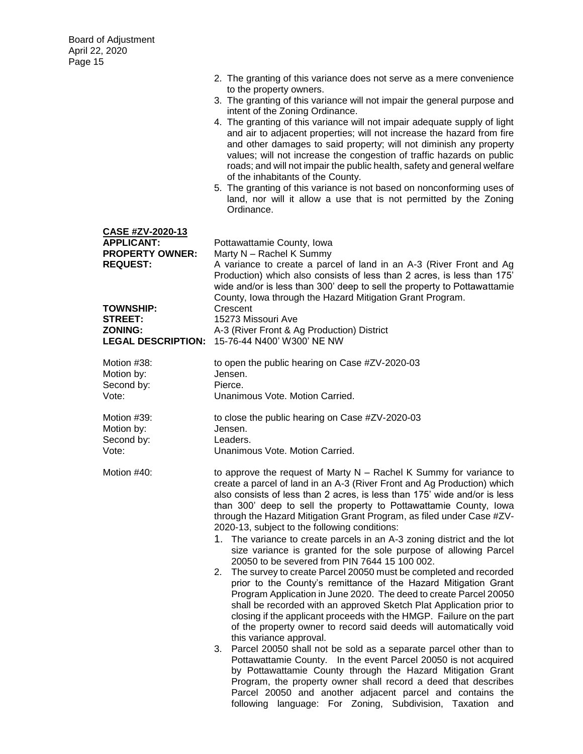|                                                                                                                                            | 2. The granting of this variance does not serve as a mere convenience<br>to the property owners.<br>3. The granting of this variance will not impair the general purpose and<br>intent of the Zoning Ordinance.<br>4. The granting of this variance will not impair adequate supply of light<br>and air to adjacent properties; will not increase the hazard from fire<br>and other damages to said property; will not diminish any property<br>values; will not increase the congestion of traffic hazards on public<br>roads; and will not impair the public health, safety and general welfare<br>of the inhabitants of the County.<br>5. The granting of this variance is not based on nonconforming uses of<br>land, nor will it allow a use that is not permitted by the Zoning<br>Ordinance.                                                                                                                                                                                                                                                                                                                                                                                                                                                                                                                                                                                                                                                                                                       |
|--------------------------------------------------------------------------------------------------------------------------------------------|-----------------------------------------------------------------------------------------------------------------------------------------------------------------------------------------------------------------------------------------------------------------------------------------------------------------------------------------------------------------------------------------------------------------------------------------------------------------------------------------------------------------------------------------------------------------------------------------------------------------------------------------------------------------------------------------------------------------------------------------------------------------------------------------------------------------------------------------------------------------------------------------------------------------------------------------------------------------------------------------------------------------------------------------------------------------------------------------------------------------------------------------------------------------------------------------------------------------------------------------------------------------------------------------------------------------------------------------------------------------------------------------------------------------------------------------------------------------------------------------------------------|
| CASE #ZV-2020-13<br><b>APPLICANT:</b><br><b>PROPERTY OWNER:</b><br><b>REQUEST:</b><br><b>TOWNSHIP:</b><br><b>STREET:</b><br><b>ZONING:</b> | Pottawattamie County, Iowa<br>Marty N - Rachel K Summy<br>A variance to create a parcel of land in an A-3 (River Front and Ag<br>Production) which also consists of less than 2 acres, is less than 175'<br>wide and/or is less than 300' deep to sell the property to Pottawattamie<br>County, Iowa through the Hazard Mitigation Grant Program.<br>Crescent<br>15273 Missouri Ave<br>A-3 (River Front & Ag Production) District<br>LEGAL DESCRIPTION: 15-76-44 N400' W300' NE NW                                                                                                                                                                                                                                                                                                                                                                                                                                                                                                                                                                                                                                                                                                                                                                                                                                                                                                                                                                                                                        |
| Motion #38:<br>Motion by:<br>Second by:<br>Vote:                                                                                           | to open the public hearing on Case #ZV-2020-03<br>Jensen.<br>Pierce.<br>Unanimous Vote. Motion Carried.                                                                                                                                                                                                                                                                                                                                                                                                                                                                                                                                                                                                                                                                                                                                                                                                                                                                                                                                                                                                                                                                                                                                                                                                                                                                                                                                                                                                   |
| Motion #39:<br>Motion by:<br>Second by:<br>Vote:                                                                                           | to close the public hearing on Case #ZV-2020-03<br>Jensen.<br>Leaders.<br>Unanimous Vote. Motion Carried.                                                                                                                                                                                                                                                                                                                                                                                                                                                                                                                                                                                                                                                                                                                                                                                                                                                                                                                                                                                                                                                                                                                                                                                                                                                                                                                                                                                                 |
| Motion #40:                                                                                                                                | to approve the request of Marty $N -$ Rachel K Summy for variance to<br>create a parcel of land in an A-3 (River Front and Ag Production) which<br>also consists of less than 2 acres, is less than 175' wide and/or is less<br>than 300' deep to sell the property to Pottawattamie County, lowa<br>through the Hazard Mitigation Grant Program, as filed under Case #ZV-<br>2020-13, subject to the following conditions:<br>1. The variance to create parcels in an A-3 zoning district and the lot<br>size variance is granted for the sole purpose of allowing Parcel<br>20050 to be severed from PIN 7644 15 100 002.<br>The survey to create Parcel 20050 must be completed and recorded<br>2.<br>prior to the County's remittance of the Hazard Mitigation Grant<br>Program Application in June 2020. The deed to create Parcel 20050<br>shall be recorded with an approved Sketch Plat Application prior to<br>closing if the applicant proceeds with the HMGP. Failure on the part<br>of the property owner to record said deeds will automatically void<br>this variance approval.<br>Parcel 20050 shall not be sold as a separate parcel other than to<br>3.<br>Pottawattamie County. In the event Parcel 20050 is not acquired<br>by Pottawattamie County through the Hazard Mitigation Grant<br>Program, the property owner shall record a deed that describes<br>Parcel 20050 and another adjacent parcel and contains the<br>following language: For Zoning, Subdivision, Taxation<br>and |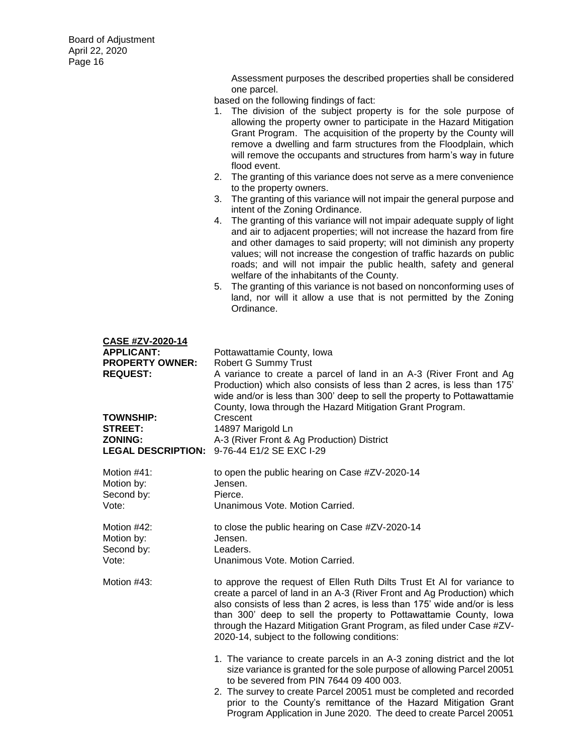Assessment purposes the described properties shall be considered one parcel.

- 1. The division of the subject property is for the sole purpose of allowing the property owner to participate in the Hazard Mitigation Grant Program. The acquisition of the property by the County will remove a dwelling and farm structures from the Floodplain, which will remove the occupants and structures from harm's way in future flood event.
- 2. The granting of this variance does not serve as a mere convenience to the property owners.
- 3. The granting of this variance will not impair the general purpose and intent of the Zoning Ordinance.
- 4. The granting of this variance will not impair adequate supply of light and air to adjacent properties; will not increase the hazard from fire and other damages to said property; will not diminish any property values; will not increase the congestion of traffic hazards on public roads; and will not impair the public health, safety and general welfare of the inhabitants of the County.
- 5. The granting of this variance is not based on nonconforming uses of land, nor will it allow a use that is not permitted by the Zoning Ordinance.

| CASE #ZV-2020-14<br><b>APPLICANT:</b><br><b>PROPERTY OWNER:</b><br><b>REQUEST:</b> | Pottawattamie County, Iowa<br>Robert G Summy Trust<br>A variance to create a parcel of land in an A-3 (River Front and Ag<br>Production) which also consists of less than 2 acres, is less than 175'<br>wide and/or is less than 300' deep to sell the property to Pottawattamie<br>County, Iowa through the Hazard Mitigation Grant Program.                                                                                 |
|------------------------------------------------------------------------------------|-------------------------------------------------------------------------------------------------------------------------------------------------------------------------------------------------------------------------------------------------------------------------------------------------------------------------------------------------------------------------------------------------------------------------------|
| <b>TOWNSHIP:</b>                                                                   | Crescent                                                                                                                                                                                                                                                                                                                                                                                                                      |
| <b>STREET:</b>                                                                     | 14897 Marigold Ln                                                                                                                                                                                                                                                                                                                                                                                                             |
| <b>ZONING:</b>                                                                     | A-3 (River Front & Ag Production) District                                                                                                                                                                                                                                                                                                                                                                                    |
| <b>LEGAL DESCRIPTION:</b>                                                          | 9-76-44 E1/2 SE EXC I-29                                                                                                                                                                                                                                                                                                                                                                                                      |
| Motion #41:                                                                        | to open the public hearing on Case #ZV-2020-14                                                                                                                                                                                                                                                                                                                                                                                |
| Motion by:                                                                         | Jensen.                                                                                                                                                                                                                                                                                                                                                                                                                       |
| Second by:                                                                         | Pierce.                                                                                                                                                                                                                                                                                                                                                                                                                       |
| Vote:                                                                              | Unanimous Vote. Motion Carried.                                                                                                                                                                                                                                                                                                                                                                                               |
| Motion #42:                                                                        | to close the public hearing on Case #ZV-2020-14                                                                                                                                                                                                                                                                                                                                                                               |
| Motion by:                                                                         | Jensen.                                                                                                                                                                                                                                                                                                                                                                                                                       |
| Second by:                                                                         | Leaders.                                                                                                                                                                                                                                                                                                                                                                                                                      |
| Vote:                                                                              | Unanimous Vote. Motion Carried.                                                                                                                                                                                                                                                                                                                                                                                               |
| Motion #43:                                                                        | to approve the request of Ellen Ruth Dilts Trust Et Al for variance to<br>create a parcel of land in an A-3 (River Front and Ag Production) which<br>also consists of less than 2 acres, is less than 175' wide and/or is less<br>than 300' deep to sell the property to Pottawattamie County, lowa<br>through the Hazard Mitigation Grant Program, as filed under Case #ZV-<br>2020-14, subject to the following conditions: |
|                                                                                    | 1. The variance to create parcels in an A-3 zoning district and the lot<br>size variance is granted for the sole purpose of allowing Parcel 20051<br>to be severed from PIN 7644 09 400 003.<br>2. The survey to create Parcel 20051 must be completed and recorded<br>prior to the County's remittance of the Hazard Mitigation Grant<br>Program Application in June 2020. The deed to create Parcel 20051                   |